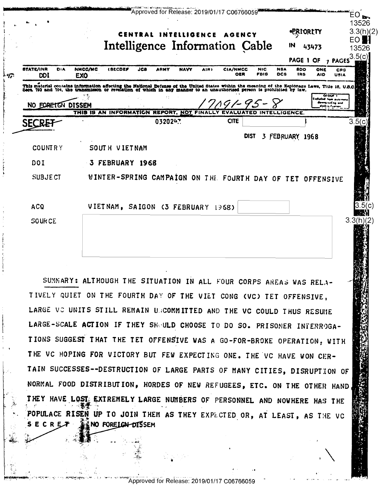|                                       |                                                                                                                                                                                                                                |     |         |             |      | CENTRAL INTELLIGENCE AGENCY<br>Intelligence Information Cable |                    |                          | <b>-PRIORITY</b><br>IN        | 43473             | 3.3(h)(2)<br>EO I<br>13526<br>3.5(c)<br>PAGE 1 OF 7 PAGES |
|---------------------------------------|--------------------------------------------------------------------------------------------------------------------------------------------------------------------------------------------------------------------------------|-----|---------|-------------|------|---------------------------------------------------------------|--------------------|--------------------------|-------------------------------|-------------------|-----------------------------------------------------------|
| <b>STATE/INR</b><br>DIA<br><b>DDI</b> | NMCC/MC<br><b>ISECDEP</b><br><b>EXO</b>                                                                                                                                                                                        | JCB | ARMY    | <b>NAVY</b> | AIR) | <b>CIA/NMCC</b><br>OER                                        | <b>NIC</b><br>FBIS | <b>NSA</b><br><b>DCB</b> | <b>8DO</b><br>IR <sub>B</sub> | ONE<br><b>AID</b> | CRG<br>USIA                                               |
|                                       | This material contains information affecting the National Defense of the United States within the meaning of the Explorage Laws, Title 18, U.S.O. Seca. 793 and 704, the transmisson or revelation of which in any manner to a |     |         |             |      |                                                               |                    |                          |                               |                   |                                                           |
| NO FORETGN DISSEM                     | THIS IS AN INFORMATION REPORT, NOT FINALL                                                                                                                                                                                      |     |         |             |      |                                                               |                    | INTELLIGENCE.            |                               | Exteted ham acts  | Qi'our i<br>downg rading lond<br>foda a finna             |
| <b>SECRE</b>                          |                                                                                                                                                                                                                                |     | 0320247 |             |      | <b>CITE</b>                                                   |                    |                          |                               |                   | 3.                                                        |
|                                       |                                                                                                                                                                                                                                |     |         |             |      | <b>DIST</b>                                                   |                    |                          | 3 FEBRUARY 1968               |                   |                                                           |
| <b>COUNTRY</b>                        | SOUTH VIETNAM                                                                                                                                                                                                                  |     |         |             |      |                                                               |                    |                          |                               |                   |                                                           |
|                                       |                                                                                                                                                                                                                                |     |         |             |      |                                                               |                    |                          |                               |                   |                                                           |
| DOI                                   | 3 FEBRUARY 1968                                                                                                                                                                                                                |     |         |             |      |                                                               |                    |                          |                               |                   |                                                           |
| <b>SUBJECT</b>                        | WINTER-SPRING CAMPAIGN ON THE FOURTH DAY OF TET OFFENSIVE                                                                                                                                                                      |     |         |             |      |                                                               |                    |                          |                               |                   |                                                           |
| <b>ACQ</b>                            | VIETNAM, SAIGON (3 FEBRUARY 1968)                                                                                                                                                                                              |     |         |             |      |                                                               |                    |                          |                               |                   |                                                           |

SUMMARY: ALTHOUGH THE SITUATION IN ALL FOUR CORPS AREAS WAS RELA-TIVELY QUIET ON THE FOURTH DAY OF THE VIET CONG (VC) TET OFFENSIVE, LARGE VO UNITS STILL REMAIN UNCOMMITTED AND THE VC COULD THUS RESUME LARGE-SCALE ACTION IF THEY SHOULD CHOOSE TO DO SO. PRISONER INTERROGA-TIONS SUGGEST THAT THE TET OFFENSIVE WAS A GO-FOR-BROKE OPERATION, WITH THE VC HOPING FOR VICTORY BUT FEW EXPECTING ONE. THE VC HAVE WON CER-TAIN SUCCESSES--DESTRUCTION OF LARGE PARTS OF MANY CITIES, DISRUPTION OF NORMAL FOOD DISTRIBUTION, HORDES OF NEW REFUGEES, ETC. ON THE OTHER HAND THEY HAVE LOST. EXTREMELY LARGE NUMBERS OF PERSONNEL AND NOWHERE HAS THE POPULACE RISEN UP TO JOIN THEM AS THEY EXPECTED OR, AT LEAST, AS THE VC & NO FORE LGN-DISSEM ECREX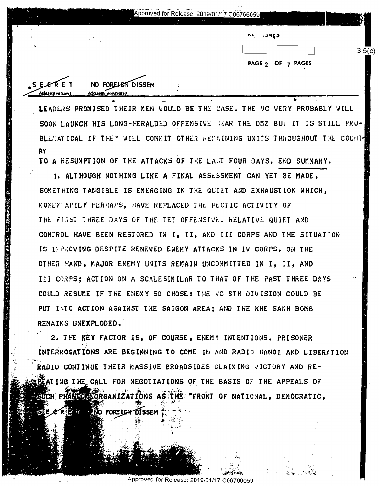|        |                                | Approved for Release: 2019/01/17 C06766059 |                   |      |
|--------|--------------------------------|--------------------------------------------|-------------------|------|
|        |                                |                                            | m+.<br>いつてる       |      |
|        |                                |                                            |                   | 3.5( |
|        |                                |                                            | PAGE 2 OF 7 PAGES |      |
| SEERET | NO FORE <del>IG</del> N DISSEM |                                            |                   |      |

LEADERS PROMISED THEIR MEN WOULD BE THE CASE. THE VC VERY PROBABLY WILL SOON LAUNCH HIS LONG-HERALDED OFFENSIVE DEAR THE DMZ BUT IT IS STILL PRO-BLENATICAL IF THEY WILL COMMIT OTHER REMAINING UNITS THROUGHOUT THE COUNT-**RY** 

TO A RESUMPTION OF THE ATTACKS OF THE LAST FOUR DAYS. END SUMMARY.

<u>(classification)</u>

(dissem controls)

1. ALTHOUGH NOTHING LIKE A FINAL ASSESSMENT CAN YET BE MADE, SOMETHING TANGIBLE IS EMERGING IN THE QUIET AND EXHAUSTION WHICH. MOMENTARILY PERHAPS. HAVE REPLACED THE HECTIC ACTIVITY OF THE FIRST THREE DAYS OF THE TET OFFENSIVE. RELATIVE QUIET AND CONTROL HAVE BEEN RESTORED IN I, II, AND III CORPS AND THE SITUATION IS IMPROVING DESPITE RENEWED ENEMY ATTACKS IN IV CORPS. ON THE OTHER HAND, MAJOR ENEMY UNITS REMAIN UNCOMMITTED IN I, II, AND III CORPS: ACTION ON A SCALESIMILAR TO THAT OF THE PAST THREE DAYS COULD RESUME IF THE ENEMY SO CHOSE: THE VC 9TH DIVISION COULD BE PUT INTO ACTION AGAINST THE SAIGON AREA; AND THE KHE SANH BOMB REMAINS UNEXPLODED.

2. THE KEY FACTOR IS. OF COURSE, ENEMY INTENTIONS. PRISONER INTERROGATIONS ARE BEGINNING TO COME IN AND RADIO HANOI AND LIBERATION RADIO CONTINUE THEIR MASSIVE BROADSIDES CLAIMING VICTORY AND RE-**TAIING THE CALL FOR NEGOTIATIONS OF THE BASIS OF THE APPEALS OF** SUCH PHANIOMEORGANIZATIONS AS THE "FRONT OF NATIONAL, DEMOCRATIC, NO FORE LON DISSEM

Approved for Release: 2019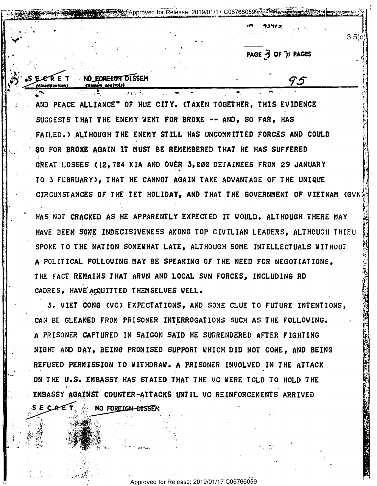PAGE 3 OF 7/ PAGES

 $3.5(c)$ 

ER E T NO EORE FOR DISSEM **If on tion I** 

AND PEACE ALLIANCE" OF HUE CITY. (TAKEN TOGETHER, THIS EVIDENCE SUGGESTS THAT THE ENEMY WENT FOR BROKE -- AND, SO FAR, HAS FAILED.) ALTHOUGH THE ENEMY STILL HAS UNCOMMITTED FORCES AND COULD GO FOR BROKE AGAIN IT MUST BE REMEMBERED THAT HE HAS SUFFERED GREAT LOSSES (12,704 KIA AND OVER 3,000 DETAINEES FROM 29 JANUARY TO 3 FEBRUARY), THAT HE CANNOT AGAIN TAKE ADVANTAGE OF THE UNIQUE CIRCUMSTANCES OF THE TET HOLIDAY, AND THAT THE GOVERNMENT OF VIETNAM (GVN)

∰ Approved for Release: 2019/01/17 C06766059

HAS NOT CRACKED AS HE APPARENTLY EXPECTED IT WOULD. ALTHOUGH THERE MAY HAVE BEEN SOME INDECISIVENESS AMONG TOP CIVILIAN LEADERS, ALTHOUGH THIEU SPOKE TO THE NATION SOMEWHAT LATE, ALTHOUGH SOME INTELLECTUALS WITHOUT A POLITICAL FOLLOWING MAY BE SPEAKING OF THE NEED FOR NEGOTIATIONS. THE FACT REMAINS THAT ARVN AND LOCAL SVN FORCES. INCLUDING RD CADRES, HAVE ACQUITTED THEMSELVES WELL.

3. VIET CONG (VC) EXPECTATIONS, AND SOME CLUE TO FUTURE INTENTIONS, CAN BE GLEANED FROM PRISONER INTERROGATIONS SUCH AS THE FOLLOWING. A PRISONER CAPTURED IN SAIGON SAID HE SURRENDERED AFTER FIGHTING NIGHT AND DAY, BEING PROMISED SUPPORT WHICH DID NOT COME, AND BEING REFUSED PERMISSION TO WITHDRAW. A PRISONER INVOLVED IN THE ATTACK ON THE U.S. EMBASSY HAS STATED THAT THE VC WERE TOLD TO HOLD THE EMBASSY AGAINST COUNTER-ATTACKS UNTIL VC REINFORCEMENTS ARRIVED SE CRET **NO FOREIGN-BISSEM**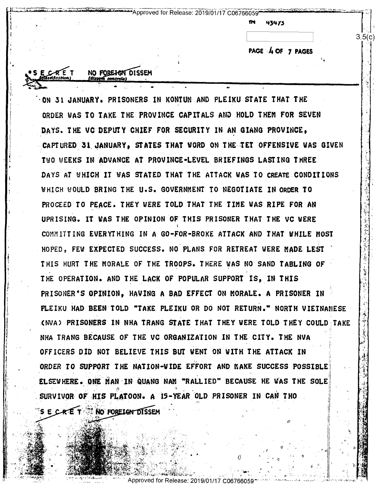Approved for Release: 2019/01/17 C06766059

NO FORE HEN DISSEM

43475

PAGE 4 OF 7 PAGES

 $3.5/c$ 

ON 31 JANUARY. PRISONERS IN KONTUM AND PLEIKU STATE THAT THE ORDER WAS TO TAKE THE PROVINCE CAPITALS AND HOLD THEM FOR SEVEN DAYS. THE VC DEPUTY CHIEF FOR SECURITY IN AN GIANG PROVINCE, CAPTURED 31 JANUARY, STATES THAT WORD ON THE TET OFFENSIVE WAS GIVEN TWO WEEKS IN ADVANCE AT PROVINCE-LEVEL BRIEFINGS LASTING THREE DAYS AT WHICH IT WAS STATED THAT THE ATTACK WAS TO CREATE CONDITIONS WHICH WOULD BRING THE U.S. GOVERNMENT TO NEGOTIATE IN ORDER TO PROCEED TO PEACE. THEY WERE TOLD THAT THE TIME WAS RIPE FOR AN UPRISING. IT WAS THE OPINION OF THIS PRISONER THAT THE VC WERE COMMITTING EVERYTHING IN A GO-FOR-BROKE ATTACK AND THAT WHILE MOST HOPED, FEW EXPECTED SUCCESS. NO PLANS FOR RETREAT WERE MADE LEST THIS HURT THE MORALE OF THE TROOPS. THERE WAS NO SAND TABLING OF THE OPERATION. AND THE LACK OF POPULAR SUPPORT IS, IN THIS PRISONER'S OPINION, HAVING A BAD EFFECT ON MORALE. A PRISONER IN PLEIKU HAD BEEN TOLD "TAKE PLEIKU OR DO NOT RETURN." NORTH VIETNAMESE (NVA) PRISONERS IN NHA TRANG STATE THAT THEY WERE TOLD THEY COULD TAKE NHA TRANG BECAUSE OF THE VC ORGANIZATION IN THE CITY. THE NVA OFFICERS DID NOT BELIEVE THIS BUT WENT ON WITH THE ATTACK IN ORDER TO SUPPORT THE NATION-WIDE EFFORT AND MAKE SUCCESS POSSIBLE ELSEWHERE. ONE MAN IN QUANG NAM "RALLIED" BECAUSE HE WAS THE SOLE SURVIVOR OF HIS PLATOON. A 15-YEAR OLD PRISONER IN CAN THO S E CRE T & NO FORELON DISSEM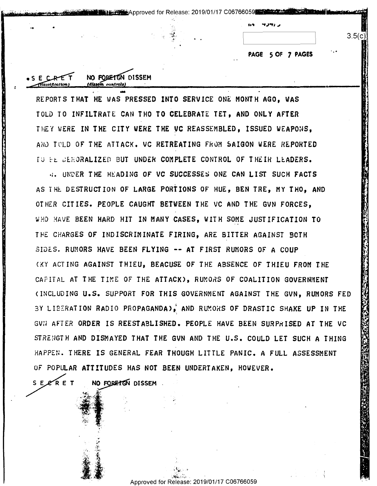PAGE 5 OF 7 PAGES

 $3.5(c$ 

REPORTS THAT HE WAS PRESSED INTO SERVICE ONE MONTH AGO. WAS TOLD TO INFILTRATE CAN THO TO CELEBRATE TET. AND ONLY AFTER THEY WERE IN THE CITY WERE THE VC REASSEMBLED, ISSUED WEAPONS, AND TOLD OF THE ATTACK. VC RETREATING FROM SAIGON WERE REPORTED TO FE DEMORALIZED BUT UNDER COMPLETE CONTROL OF THEIR LEADERS.

NO FORETGN DISSEM

**IAUSAM** controls

4. UNDER THE HEADING OF VC SUCCESSES ONE CAN LIST SUCH FACTS AS THE DESTRUCTION OF LARGE PORTIONS OF HUE. BEN TRE. MY THO. AND OTHER CITIES. PEOPLE CAUGHT BETWEEN THE VC AND THE GVN FORCES, WHO HAVE BEEN HARD HIT IN MANY CASES, WITH SOME JUSTIFICATION TO THE CHARGES OF INDISCRIMINATE FIRING. ARE BITTER AGAINST BOTH SIDES. RUMORS HAVE BEEN FLYING -- AT FIRST RUMORS OF A COUP CKY ACTING AGAINST THIEU, BEACUSE OF THE ABSENCE OF THIEU FROM THE CAPITAL AT THE TIME OF THE ATTACK), RUMORS OF COALITION GOVERNMENT (INCLUDING U.S. SUPPORT FOR THIS GOVERNMENT AGAINST THE GVN. RUMORS FED BY LIBERATION RADIO PROPAGANDA), AND RUMORS OF DRASTIC SHAKE UP IN THE GVN AFTER ORDER IS REESTABLISHED. PEOPLE HAVE BEEN SURPRISED AT THE VC STRENGTH AND DISMAYED THAT THE GVN AND THE U.S. COULD LET SUCH A THING HAPPEN. THERE IS GENERAL FEAR THOUGH LITTLE PANIC. A FULL ASSESSMENT OF POPULAR ATTITUDES HAS NOT BEEN UNDERTAKEN. HOWEVER.

SERRET NO FORETCH DISSEM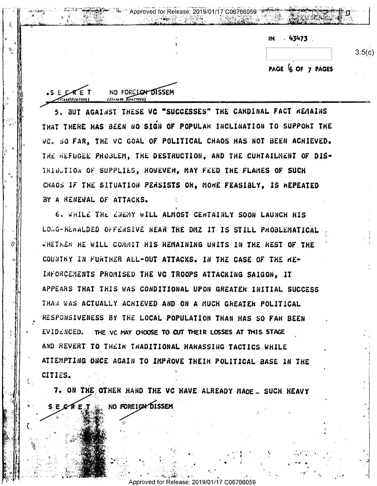| .43473.<br>IN     |
|-------------------|
| 3.5(c)            |
| PAGE 6 OF 7 PAGES |

BUT AGAINST THESE VC "SUCCESSES" THE CARDINAL FACT REMAINS THAT THERE HAS BEEN NO SIGN OF POPULAR INCLINATION TO SUPPORT THE VC. SO FAR. THE VC GOAL OF POLITICAL CHAOS HAS NOT BEEN ACHIEVED. THE REFUGEE PROBLEM. THE DESTRUCTION, AND THE CURTAILMENT OF DIS-IRIBUTION OF SUPPLIES, HOWEVER, MAY FEED THE FLAMES OF SUCH CHAOS IF THE SITUATION PERSISTS OR, MORE FEASIBLY, IS REPEATED BY A RENEWAL OF ATTACKS.

NO FORELOW DISSEM

 $S E C R E$ 

6. WHILE THE ENEMY WILL ALMOST CENTAINLY SOON LAUNCH HIS LOWG-RENALDED OFFENSIVE NEAR THE DMZ IT IS STILL PROBLEMATICAL WHETHER HE WILL COMMIT HIS REMAINING UNITS IN THE REST OF THE COUNTRY IN FURTHER ALL-OUT ATTACKS. IN THE CASE OF THE RE-INFORCEMENTS PROMISED THE VC TROOPS ATTACKING SAIGON. IT APPEARS THAT THIS WAS CONDITIONAL UPON GREATER INITIAL SUCCESS THAN WAS ACTUALLY ACHIEVED AND ON A MUCH GREATER POLITICAL RESPONSIVENESS BY THE LOCAL POPULATION THAN HAS SO FAR BEEN EVIDENCED. THE VC MAY CHOOSE TO CUT THEIR LOSSES AT THIS STAGE AND REVERT TO THEIR TRADITIONAL HARASSING TACTICS WHILE ATTEMPTING ONCE AGAIN TO IMPROVE THEIR POLITICAL BASE IN THE CITIES.

7. ON THE OTHER HAND THE VC HAVE ALREADY MADE . SUCH HEAVY

NO FOREIGN DISSEM

17 C06766059 Release: 20